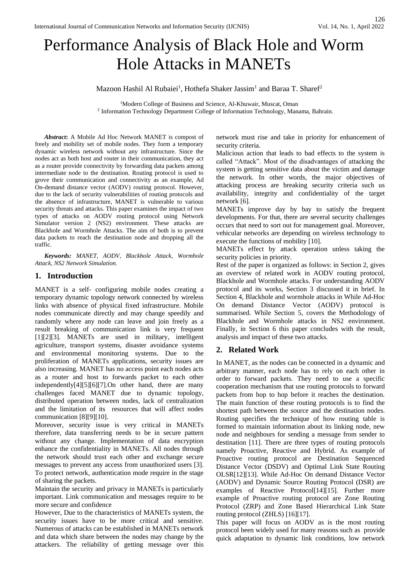# Performance Analysis of Black Hole and Worm Hole Attacks in MANETs

Mazoon Hashil Al Rubaiei<sup>1</sup>, Hothefa Shaker Jassim<sup>1</sup> and Baraa T. Sharef<sup>2</sup>

<sup>1</sup>Modern College of Business and Science, Al-Khuwair, Muscat, Oman 2 Information Technology Department College of Information Technology, Manama, Bahrain.

*Abstract***:** A Mobile Ad Hoc Network MANET is compost of freely and mobility set of mobile nodes. They form a temporary dynamic wireless network without any infrastructure. Since the nodes act as both host and router in their communication, they act as a router provide connectivity by forwarding data packets among intermediate node to the destination. Routing protocol is used to grove their communication and connectivity as an example, Ad On-demand distance vector (AODV) routing protocol. However, due to the lack of security vulnerabilities of routing protocols and the absence of infrastructure, MANET is vulnerable to various security threats and attacks. This paper examines the impact of two types of attacks on AODV routing protocol using Network Simulator version 2 (NS2) environment. These attacks are Blackhole and Wormhole Attacks. The aim of both is to prevent data packets to reach the destination node and dropping all the traffic.

*Keywords: MANET, AODV, Blackhole Attack, Wormhole Attack, NS2 Network Simulation.*

## **1. Introduction**

MANET is a self- configuring mobile nodes creating a temporary dynamic topology network connected by wireless links with absence of physical fixed infrastructure. Mobile nodes communicate directly and may change speedily and randomly where any node can leave and join freely as a result breaking of communication link is very frequent [1][2][3]. MANETs are used in military, intelligent agriculture, transport systems, disaster avoidance systems and environmental monitoring systems. Due to the proliferation of MANETs applications, security issues are also increasing. MANET has no access point each nodes acts as a router and host to forwards packet to each other independently[4][5][6][7].On other hand, there are many challenges faced MANET due to dynamic topology, distributed operation between nodes, lack of centralization and the limitation of its resources that will affect nodes communication [8][9][10].

Moreover, security issue is very critical in MANETs therefore, data transferring needs to be in secure pattern without any change. Implementation of data encryption enhance the confidentiality in MANETs. All nodes through the network should trust each other and exchange secure messages to prevent any access from unauthorized users [3]. To protect network, authentication mode require in the stage of sharing the packets.

Maintain the security and privacy in MANETs is particularly important. Link communication and messages require to be more secure and confidence

However, Due to the characteristics of MANETs system, the security issues have to be more critical and sensitive. Numerous of attacks can be established in MANETs network and data which share between the nodes may change by the attackers. The reliability of getting message over this network must rise and take in priority for enhancement of security criteria.

Malicious action that leads to bad effects to the system is called "Attack". Most of the disadvantages of attacking the system is getting sensitive data about the victim and damage the network. In other words, the major objectives of attacking process are breaking security criteria such us availability, integrity and confidentiality of the target network [6].

MANETs improve day by bay to satisfy the frequent developments. For that, there are several security challenges occurs that need to sort out for management goal. Moreover, vehicular networks are depending on wireless technology to execute the functions of mobility [10].

MANETs effect by attack operation unless taking the security policies in priority.

Rest of the paper is organized as follows: in Section 2, gives an overview of related work in AODV routing protocol, Blackhole and Wormhole attacks. For understanding AODV protocol and its works, Section 3 discussed it in brief. In Section 4, Blackhole and wormhole attacks in While Ad-Hoc On demand Distance Vector (AODV) protocol is summarised. While Section 5, covers the Methodology of Blackhole and Wormhole attacks in NS2 environment. Finally, in Section 6 this paper concludes with the result, analysis and impact of these two attacks.

# **2. Related Work**

In MANET, as the nodes can be connected in a dynamic and arbitrary manner, each node has to rely on each other in order to forward packets. They need to use a specific cooperation mechanism that use routing protocols to forward packets from hop to hop before it reaches the destination. The main function of these routing protocols is to find the shortest path between the source and the destination nodes. Routing specifies the technique of how routing table is formed to maintain information about its linking node, new node and neighbours for sending a message from sender to destination [11]. There are three types of routing protocols namely Proactive, Reactive and Hybrid. As example of Proactive routing protocol are Destination Sequenced Distance Vector (DSDV) and Optimal Link State Routing OLSR[12][13]. While Ad-Hoc On demand Distance Vector (AODV) and Dynamic Source Routing Protocol (DSR) are examples of Reactive Protocol<sup>[14]</sup>[15]. Further more example of Proactive routing protocol are Zone Routing Protocol (ZRP) and Zone Based Hierarchical Link State routing protocol (ZHLS) [16][17].

This paper will focus on AODV as is the most routing protocol been widely used for many reasons such as provide quick adaptation to dynamic link conditions, low network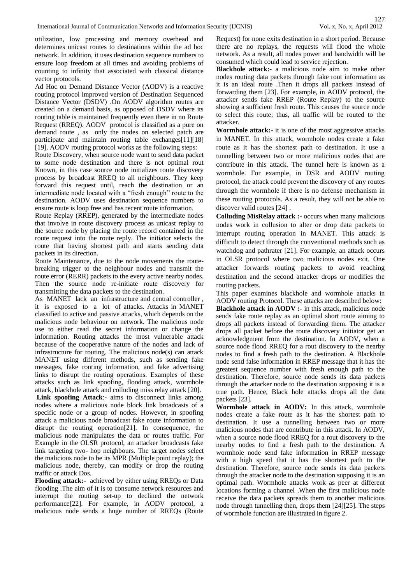utilization, low processing and memory overhead and determines unicast routes to destinations within the ad hoc network. In addition, it uses destination sequence numbers to ensure loop freedom at all times and avoiding problems of counting to infinity that associated with classical distance vector protocols.

Ad Hoc on Demand Distance Vector (AODV) is a reactive routing protocol improved version of Destination Sequenced Distance Vector (DSDV) .On AODV algorithm routes are created on a demand basis, as opposed of DSDV where its routing table is maintained frequently even there in no Route Request (RREQ). AODV protocol is classified as a pure on demand route , as only the nodes on selected patch are participate and maintain routing table exchanges[11][18] [19]. AODV routing protocol works as the following steps:

Route Discovery, when source node want to send data packet to some node destination and there is not optimal rout Known, in this case source node initializes route discovery process by broadcast RREQ to all neighbours. They keep forward this request until, reach the destination or an intermediate node located with a "fresh enough" route to the destination. AODV uses destination sequence numbers to ensure route is loop free and has recent route information.

Route Replay (RREP), generated by the intermediate nodes that involve in route discovery process as unicast replay to the source node by placing the route record contained in the route request into the route reply. The initiator selects the route that having shortest path and starts sending data packets in its direction.

Route Maintenance, due to the node movements the routebreaking trigger to the neighbour nodes and transmit the route error (RERR) packets to the every active nearby nodes. Then the source node re-initiate route discovery for transmitting the data packets to the destination.

As MANET lack an infrastructure and central controller , it is exposed to a lot of attacks. Attacks in MANET classified to active and passive attacks, which depends on the malicious node behaviour on network. The malicious node use to either read the secret information or change the information. Routing attacks the most vulnerable attack because of the cooperative nature of the nodes and lack of infrastructure for routing. The malicious node(s) can attack MANET using different methods, such as sending fake messages, fake routing information, and fake advertising links to disrupt the routing operations. Examples of these attacks such as link spoofing, flooding attack, wormhole attack, blackhole attack and colluding miss relay attack [20].

**Link spoofing Attack**:- aims to disconnect links among nodes where a malicious node block link broadcasts of a specific node or a group of nodes. However, in spoofing attack a malicious node broadcast fake route information to disrupt the routing operation[21]. In consequence, the malicious node manipulates the data or routes traffic. For Example in the OLSR protocol, an attacker broadcasts fake link targeting two- hop neighbours. The target nodes select the malicious node to be its MPR (Multiple point replay); the malicious node, thereby, can modify or drop the routing traffic or attack Dos.

**Flooding attack:-** achieved by either using RREQs or Data flooding .The aim of it is to consume network resources and interrupt the routing set-up to declined the network performance[22]. For example, in AODV protocol, a malicious node sends a huge number of RREQs (Route Request) for none exits destination in a short period. Because there are no replays, the requests will flood the whole network. As a result, all nodes power and bandwidth will be consumed which could lead to service rejection.

**Blackhole attack:-** a malicious node aim to make other nodes routing data packets through fake rout information as it is an ideal route .Then it drops all packets instead of forwarding them [23]. For example, in AODV protocol, the attacker sends fake RREP (Route Replay) to the source showing a sufficient fresh route. This causes the source node to select this route; thus, all traffic will be routed to the attacker.

**Wormhole attack:**- it is one of the most aggressive attacks in MANET. In this attack, wormhole nodes create a fake route as it has the shortest path to destination. It use a tunnelling between two or more malicious nodes that are contribute in this attack. The tunnel here is known as a wormhole. For example, in DSR and AODV routing protocol, the attack could prevent the discovery of any routes through the wormhole if there is no defense mechanism in these routing protocols. As a result, they will not be able to discover valid routes [24] .

**Colluding MisRelay attack :-** occurs when many malicious nodes work in collusion to alter or drop data packets to interrupt routing operation in MANET. This attack is difficult to detect through the conventional methods such as watchdog and pathrater [21]. For example, an attack occurs in OLSR protocol where two malicious nodes exit. One attacker forwards routing packets to avoid reaching destination and the second attacker drops or modifies the routing packets.

This paper examines blackhole and wormhole attacks in AODV routing Protocol. These attacks are described below: **Blackhole attack in AODV :-** in this attack, malicious node sends fake route replay as an optimal short route aiming to drops all packets instead of forwarding them. The attacker drops all packet before the route discovery initiator get an acknowledgment from the destination. In AODV, when a source node flood RREQ for a rout discovery to the nearby nodes to find a fresh path to the destination. A Blackhole node send false information in RREP message that it has the greatest sequence number with fresh enough path to the destination. Therefore, source node sends its data packets through the attacker node to the destination supposing it is a true path. Hence, Black hole attacks drops all the data packets [23].

**Wormhole attack in AODV:** In this attack, wormhole nodes create a fake route as it has the shortest path to destination. It use a tunnelling between two or more malicious nodes that are contribute in this attack. In AODV, when a source node flood RREQ for a rout discovery to the nearby nodes to find a fresh path to the destination. A wormhole node send fake information in RREP message with a high speed that it has the shortest path to the destination. Therefore, source node sends its data packets through the attacker node to the destination supposing it is an optimal path. Wormhole attacks work as peer at different locations forming a channel .When the first malicious node receive the data packets spreads them to another malicious node through tunnelling then, drops them [24][25]. The steps of wormhole function are illustrated in figure 2.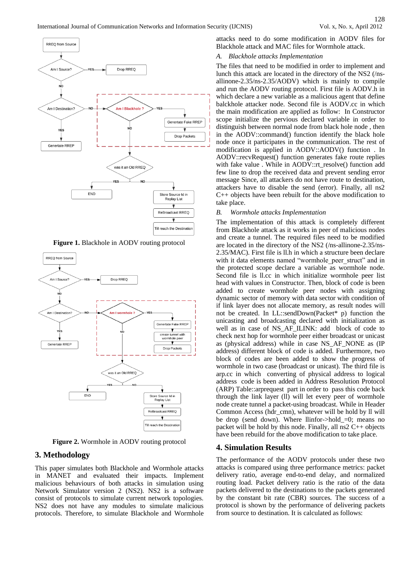







**Figure 2.** Wormhole in AODV routing protocol

# **3. Methodology**

This paper simulates both Blackhole and Wormhole attacks in MANET and evaluated their impacts. Implement malicious behaviours of both attacks in simulation using Network Simulator version 2 (NS2). NS2 is a software consist of protocols to simulate current network topologies. NS2 does not have any modules to simulate malicious protocols. Therefore, to simulate Blackhole and Wormhole attacks need to do some modification in AODV files for Blackhole attack and MAC files for Wormhole attack.

#### *A. Blackhole attacks Implementation*

The files that need to be modified in order to implement and lunch this attack are located in the directory of the NS2 (/nsallinone-2.35/ns-2.35/AODV) which is mainly to compile and run the AODV routing protocol. First file is AODV.h in which declare a new variable as a malicious agent that define balckhole attacker node. Second file is AODV.cc in which the main modification are applied as follow: In Constructor scope initialize the pervious declared variable in order to distinguish between normal node from black hole node , then in the AODV::command() function identify the black hole node once it participates in the communication. The rest of modification is applied in AODV::AODV() function . In AODV::recvRequest() function generates fake route replies with fake value . While in AODV::rt\_resolve() function add few line to drop the received data and prevent sending error message Since, all attackers do not have route to destination, attackers have to disable the send (error). Finally, all ns2 C++ objects have been rebuilt for the above modification to take place.

### *B. Wormhole attacks Implementation*

The implementation of this attack is completely different from Blackhole attack as it works in peer of malicious nodes and create a tunnel. The required files need to be modified are located in the directory of the NS2 (/ns-allinone-2.35/ns-2.35/MAC). First file is ll.h in which a structure been declare with it data elements named "wormhole peer struct" and in the protected scope declare a variable as wormhole node. Second file is ll.cc in which initialize wormhole peer list head with values in Constructor. Then, block of code is been added to create wormhole peer nodes with assigning dynamic sector of memory with data sector with condition of if link layer does not allocate memory, as result nodes will not be created. In LL::sendDown(Packet\* p) function the unicasting and broadcasting declared with initialization as well as in case of NS\_AF\_ILINK: add block of code to check next hop for wormhole peer either broadcast or unicast as (physical address) while in case NS\_AF\_NONE as (IP address) different block of code is added. Furthermore, two block of codes are been added to show the progress of wormhole in two case (broadcast or unicast). The third file is arp.cc in which converting of physical address to logical address code is been added in Address Resolution Protocol (ARP) Table::arprequest part in order to pass this code back through the link layer (ll) will let every peer of wormhole node create tunnel a packet-using broadcast. While in Header Common Access (hdr\_cmn), whatever will be hold by ll will be drop (send down). Where llinfor->hold\_=0; means no packet will be hold by this node. Finally, all ns2 C++ objects have been rebuild for the above modification to take place.

#### **4. Simulation Results**

The performance of the AODV protocols under these two attacks is compared using three performance metrics: packet delivery ratio, average end-to-end delay, and normalized routing load. Packet delivery ratio is the ratio of the data packets delivered to the destinations to the packets generated by the constant bit rate (CBR) sources. The success of a protocol is shown by the performance of delivering packets from source to destination. It is calculated as follows: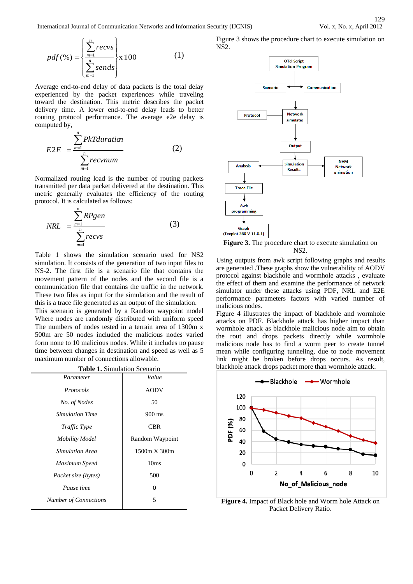International Journal of Communication Networks and Information Security (IJCNIS) Vol. x, No. x, April 2012

$$
pdf(\% ) = \left\{ \frac{\sum_{m=1}^{n} recvs}{\sum_{m=1}^{n} sends} \right\} \times 100 \tag{1}
$$

Average end-to-end delay of data packets is the total delay experienced by the packet experiences while traveling toward the destination. This metric describes the packet delivery time. A lower end-to-end delay leads to better routing protocol performance. The average e2e delay is computed by,

$$
E2E = \frac{\sum_{m=1}^{n} PkTduration}{\sum_{m=1}^{n} recvnum}
$$
 (2)

Normalized routing load is the number of routing packets transmitted per data packet delivered at the destination. This metric generally evaluates the efficiency of the routing protocol. It is calculated as follows:

$$
NRL = \frac{\sum_{m=1}^{n} RPgen}{\sum_{m=1}^{n} recvs}
$$
 (3)

Table 1 shows the simulation scenario used for NS2 simulation. It consists of the generation of two input files to NS-2. The first file is a scenario file that contains the movement pattern of the nodes and the second file is a communication file that contains the traffic in the network. These two files as input for the simulation and the result of this is a trace file generated as an output of the simulation.

This scenario is generated by a Random waypoint model Where nodes are randomly distributed with uniform speed The numbers of nodes tested in a terrain area of 1300m x 500m are 50 nodes included the malicious nodes varied form none to 10 malicious nodes. While it includes no pause time between changes in destination and speed as well as 5 maximum number of connections allowable.

|  | <b>Table 1.</b> Simulation Scenario |  |
|--|-------------------------------------|--|
|--|-------------------------------------|--|

| Parameter                    | Value               |
|------------------------------|---------------------|
| Protocols                    | <b>AODV</b>         |
| No. of Nodes                 | 50                  |
| <b>Simulation Time</b>       | 900 ms              |
| Traffic Type                 | CBR                 |
| <b>Mobility Model</b>        | Random Waypoint     |
| Simulation Area              | $1500m \times 300m$ |
| Maximum Speed                | 10ms                |
| Packet size (bytes)          | 500                 |
| Pause time                   | 0                   |
| <b>Number of Connections</b> | 5                   |

Figure 3 shows the procedure chart to execute simulation on NS2.



**Figure 3.** The procedure chart to execute simulation on NS2.

Using outputs from awk script following graphs and results are generated .These graphs show the vulnerability of AODV protocol against blackhole and wormhole attacks , evaluate the effect of them and examine the performance of network simulator under these attacks using PDF, NRL and E2E performance parameters factors with varied number of malicious nodes.

Figure 4 illustrates the impact of blackhole and wormhole attacks on PDF. Blackhole attack has higher impact than wormhole attack as blackhole malicious node aim to obtain the rout and drops packets directly while wormhole malicious node has to find a worm peer to create tunnel mean while configuring tunneling, due to node movement link might be broken before drops occurs. As result, blackhole attack drops packet more than wormhole attack.



**Figure 4.** Impact of Black hole and Worm hole Attack on Packet Delivery Ratio.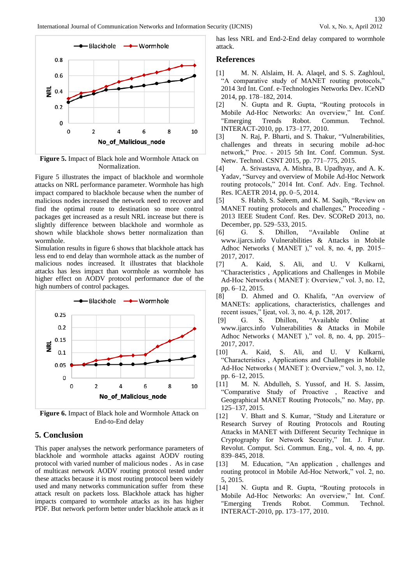

**Figure 5.** Impact of Black hole and Wormhole Attack on Normalization.

Figure 5 illustrates the impact of blackhole and wormhole attacks on NRL performance parameter. Wormhole has high impact compared to blackhole because when the number of malicious nodes increased the network need to recover and find the optimal route to destination so more control packages get increased as a result NRL increase but there is slightly difference between blackhole and wormhole as shown while blackhole shows better normalization than wormhole.

Simulation results in figure 6 shows that blackhole attack has less end to end delay than wormhole attack as the number of malicious nodes increased. It illustrates that blackhole attacks has less impact than wormhole as wormhole has higher effect on AODV protocol performance due of the high numbers of control packages.



**Figure 6.** Impact of Black hole and Wormhole Attack on End-to-End delay

## **5. Conclusion**

This paper analyses the network performance parameters of blackhole and wormhole attacks against AODV routing protocol with varied number of malicious nodes . As in case of multicast network AODV routing protocol tested under these attacks because it is most routing protocol been widely used and many networks communication suffer from these attack result on packets loss. Blackhole attack has higher impacts compared to wormhole attacks as its has higher PDF. But network perform better under blackhole attack as it

has less NRL and End-2-End delay compared to wormhole attack.

## **References**

- [1] M. N. Alslaim, H. A. Alaqel, and S. S. Zaghloul, "A comparative study of MANET routing protocols," 2014 3rd Int. Conf. e-Technologies Networks Dev. ICeND 2014, pp. 178–182, 2014.
- [2] N. Gupta and R. Gupta, "Routing protocols in Mobile Ad-Hoc Networks: An overview," Int. Conf. "Emerging Trends Robot. Commun. Technol. INTERACT-2010, pp. 173–177, 2010.
- [3] N. Raj, P. Bharti, and S. Thakur, "Vulnerabilities, challenges and threats in securing mobile ad-hoc network," Proc. - 2015 5th Int. Conf. Commun. Syst. Netw. Technol. CSNT 2015, pp. 771–775, 2015.
- [4] A. Srivastava, A. Mishra, B. Upadhyay, and A. K. Yadav, "Survey and overview of Mobile Ad-Hoc Network routing protocols," 2014 Int. Conf. Adv. Eng. Technol. Res. ICAETR 2014, pp. 0–5, 2014.
- [5] S. Habib, S. Saleem, and K. M. Saqib, "Review on MANET routing protocols and challenges," Proceeding - 2013 IEEE Student Conf. Res. Dev. SCOReD 2013, no. December, pp. 529–533, 2015.
- [6] G. S. Dhillon, "Available Online at www.ijarcs.info Vulnerabilities & Attacks in Mobile Adhoc Networks ( MANET )," vol. 8, no. 4, pp. 2015– 2017, 2017.
- [7] A. Kaid, S. Ali, and U. V Kulkarni, "Characteristics , Applications and Challenges in Mobile Ad-Hoc Networks ( MANET ): Overview," vol. 3, no. 12, pp. 6–12, 2015.
- [8] D. Ahmed and O. Khalifa, "An overview of MANETs: applications, characteristics, challenges and recent issues," Ijeat, vol. 3, no. 4, p. 128, 2017.
- [9] G. S. Dhillon, "Available Online at www.ijarcs.info Vulnerabilities & Attacks in Mobile Adhoc Networks ( MANET )," vol. 8, no. 4, pp. 2015– 2017, 2017.
- [10] A. Kaid, S. Ali, and U. V Kulkarni, "Characteristics , Applications and Challenges in Mobile Ad-Hoc Networks ( MANET ): Overview," vol. 3, no. 12, pp. 6–12, 2015.
- [11] M. N. Abdulleh, S. Yussof, and H. S. Jassim, "Comparative Study of Proactive , Reactive and Geographical MANET Routing Protocols," no. May, pp. 125–137, 2015.
- [12] V. Bhatt and S. Kumar, "Study and Literature or Research Survey of Routing Protocols and Routing Attacks in MANET with Different Security Technique in Cryptography for Network Security," Int. J. Futur. Revolut. Comput. Sci. Commun. Eng., vol. 4, no. 4, pp. 839–845, 2018.
- [13] M. Education, "An application , challenges and routing protocol in Mobile Ad-Hoc Network," vol. 2, no. 5, 2015.
- [14] N. Gupta and R. Gupta, "Routing protocols in Mobile Ad-Hoc Networks: An overview," Int. Conf. "Emerging Trends Robot. Commun. Technol. INTERACT-2010, pp. 173–177, 2010.